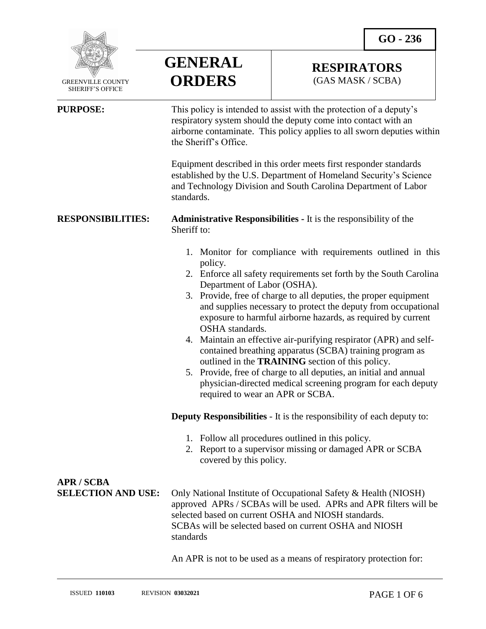**RESPIRATORS** (GAS MASK / SCBA)



 GREENVILLE COUNTY SHERIFF'S OFFICE

**APR / SCBA**

 $\overline{a}$ 

**ORDERS PURPOSE:** This policy is intended to assist with the protection of a deputy's respiratory system should the deputy come into contact with an airborne contaminate. This policy applies to all sworn deputies within the Sheriff's Office.

**GENERAL**

Equipment described in this order meets first responder standards established by the U.S. Department of Homeland Security's Science and Technology Division and South Carolina Department of Labor standards.

**RESPONSIBILITIES: Administrative Responsibilities -** It is the responsibility of the Sheriff to:

- 1. Monitor for compliance with requirements outlined in this policy.
- 2. Enforce all safety requirements set forth by the South Carolina Department of Labor (OSHA).
- 3. Provide, free of charge to all deputies, the proper equipment and supplies necessary to protect the deputy from occupational exposure to harmful airborne hazards, as required by current OSHA standards.
- 4. Maintain an effective air-purifying respirator (APR) and selfcontained breathing apparatus (SCBA) training program as outlined in the **TRAINING** section of this policy.
- 5. Provide, free of charge to all deputies, an initial and annual physician-directed medical screening program for each deputy required to wear an APR or SCBA.

**Deputy Responsibilities** - It is the responsibility of each deputy to:

- 1. Follow all procedures outlined in this policy.
- 2. Report to a supervisor missing or damaged APR or SCBA covered by this policy.

| APR / SUBA |                                                                                           |
|------------|-------------------------------------------------------------------------------------------|
|            | <b>SELECTION AND USE:</b> Only National Institute of Occupational Safety & Health (NIOSH) |
|            | approved APRs / SCBAs will be used. APRs and APR filters will be                          |
|            | selected based on current OSHA and NIOSH standards.                                       |
|            | SCBAs will be selected based on current OSHA and NIOSH                                    |
|            | standards                                                                                 |
|            |                                                                                           |

An APR is not to be used as a means of respiratory protection for: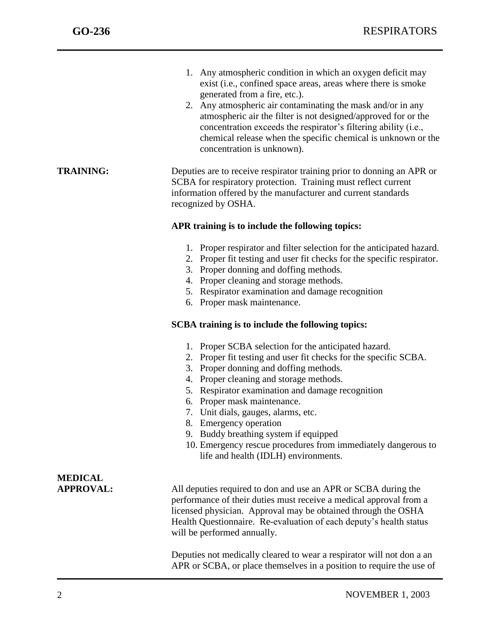j

| 1. Any atmospheric condition in which an oxygen deficit may   |
|---------------------------------------------------------------|
| exist (i.e., confined space areas, areas where there is smoke |
| generated from a fire, etc.).                                 |

2. Any atmospheric air contaminating the mask and/or in any atmospheric air the filter is not designed/approved for or the concentration exceeds the respirator's filtering ability (i.e., chemical release when the specific chemical is unknown or the concentration is unknown).

**TRAINING:** Deputies are to receive respirator training prior to donning an APR or SCBA for respiratory protection. Training must reflect current information offered by the manufacturer and current standards recognized by OSHA.

### **APR training is to include the following topics:**

- 1. Proper respirator and filter selection for the anticipated hazard.
- 2. Proper fit testing and user fit checks for the specific respirator.
- 3. Proper donning and doffing methods.
- 4. Proper cleaning and storage methods.
- 5. Respirator examination and damage recognition
- 6. Proper mask maintenance.

### **SCBA training is to include the following topics:**

- 1. Proper SCBA selection for the anticipated hazard.
- 2. Proper fit testing and user fit checks for the specific SCBA.
- 3. Proper donning and doffing methods.
- 4. Proper cleaning and storage methods.
- 5. Respirator examination and damage recognition
- 6. Proper mask maintenance.
- 7. Unit dials, gauges, alarms, etc.
- 8. Emergency operation
- 9. Buddy breathing system if equipped
- 10. Emergency rescue procedures from immediately dangerous to life and health (IDLH) environments.

# **MEDICAL**

**APPROVAL:** All deputies required to don and use an APR or SCBA during the performance of their duties must receive a medical approval from a licensed physician. Approval may be obtained through the OSHA Health Questionnaire. Re-evaluation of each deputy's health status will be performed annually.

> Deputies not medically cleared to wear a respirator will not don a an APR or SCBA, or place themselves in a position to require the use of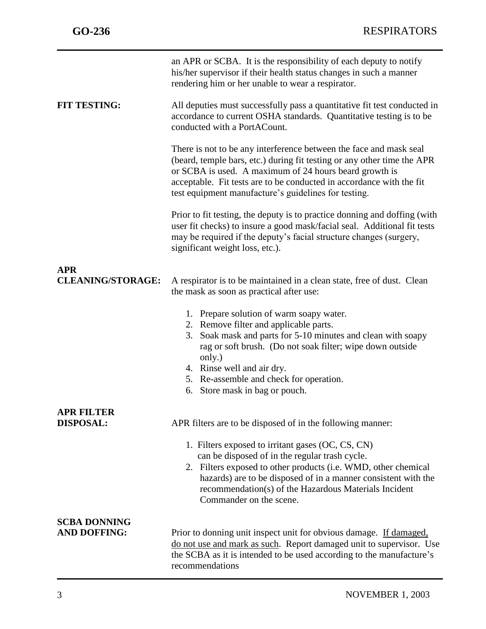|                          | an APR or SCBA. It is the responsibility of each deputy to notify<br>his/her supervisor if their health status changes in such a manner<br>rendering him or her unable to wear a respirator.                                                                                                                                               |
|--------------------------|--------------------------------------------------------------------------------------------------------------------------------------------------------------------------------------------------------------------------------------------------------------------------------------------------------------------------------------------|
| <b>FIT TESTING:</b>      | All deputies must successfully pass a quantitative fit test conducted in<br>accordance to current OSHA standards. Quantitative testing is to be<br>conducted with a PortACount.                                                                                                                                                            |
|                          | There is not to be any interference between the face and mask seal<br>(beard, temple bars, etc.) during fit testing or any other time the APR<br>or SCBA is used. A maximum of 24 hours beard growth is<br>acceptable. Fit tests are to be conducted in accordance with the fit<br>test equipment manufacture's guidelines for testing.    |
|                          | Prior to fit testing, the deputy is to practice donning and doffing (with<br>user fit checks) to insure a good mask/facial seal. Additional fit tests<br>may be required if the deputy's facial structure changes (surgery,<br>significant weight loss, etc.).                                                                             |
| <b>APR</b>               |                                                                                                                                                                                                                                                                                                                                            |
| <b>CLEANING/STORAGE:</b> | A respirator is to be maintained in a clean state, free of dust. Clean<br>the mask as soon as practical after use:                                                                                                                                                                                                                         |
|                          | 1. Prepare solution of warm soapy water.<br>2. Remove filter and applicable parts.<br>Soak mask and parts for 5-10 minutes and clean with soapy<br>3.<br>rag or soft brush. (Do not soak filter; wipe down outside<br>only.)<br>4. Rinse well and air dry.<br>5. Re-assemble and check for operation.<br>Store mask in bag or pouch.<br>6. |
| <b>APR FILTER</b>        |                                                                                                                                                                                                                                                                                                                                            |
| <b>DISPOSAL:</b>         | APR filters are to be disposed of in the following manner:                                                                                                                                                                                                                                                                                 |
|                          | 1. Filters exposed to irritant gases (OC, CS, CN)<br>can be disposed of in the regular trash cycle.<br>2. Filters exposed to other products (i.e. WMD, other chemical<br>hazards) are to be disposed of in a manner consistent with the<br>recommendation(s) of the Hazardous Materials Incident<br>Commander on the scene.                |
| <b>SCBA DONNING</b>      |                                                                                                                                                                                                                                                                                                                                            |
| <b>AND DOFFING:</b>      | Prior to donning unit inspect unit for obvious damage. If damaged,<br>do not use and mark as such. Report damaged unit to supervisor. Use<br>the SCBA as it is intended to be used according to the manufacture's<br>recommendations                                                                                                       |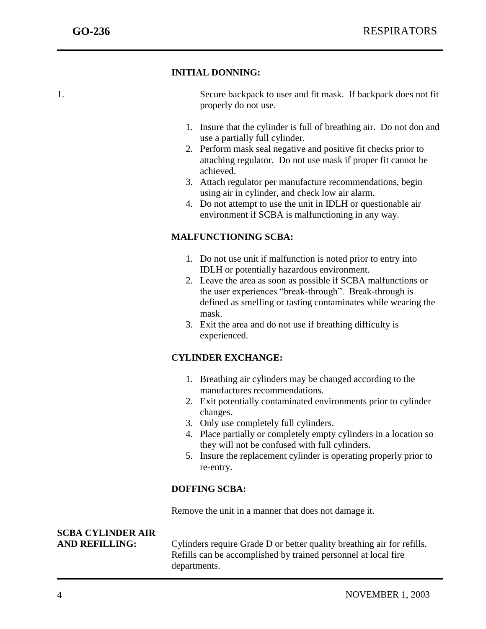### **INITIAL DONNING:**

j

1. Secure backpack to user and fit mask. If backpack does not fit properly do not use.

- 1. Insure that the cylinder is full of breathing air. Do not don and use a partially full cylinder.
- 2. Perform mask seal negative and positive fit checks prior to attaching regulator. Do not use mask if proper fit cannot be achieved.
- 3. Attach regulator per manufacture recommendations, begin using air in cylinder, and check low air alarm.
- 4. Do not attempt to use the unit in IDLH or questionable air environment if SCBA is malfunctioning in any way.

# **MALFUNCTIONING SCBA:**

- 1. Do not use unit if malfunction is noted prior to entry into IDLH or potentially hazardous environment.
- 2. Leave the area as soon as possible if SCBA malfunctions or the user experiences "break-through". Break-through is defined as smelling or tasting contaminates while wearing the mask.
- 3. Exit the area and do not use if breathing difficulty is experienced.

# **CYLINDER EXCHANGE:**

- 1. Breathing air cylinders may be changed according to the manufactures recommendations.
- 2. Exit potentially contaminated environments prior to cylinder changes.
- 3. Only use completely full cylinders.
- 4. Place partially or completely empty cylinders in a location so they will not be confused with full cylinders.
- 5. Insure the replacement cylinder is operating properly prior to re-entry.

# **DOFFING SCBA:**

Remove the unit in a manner that does not damage it.

# **SCBA CYLINDER AIR**

AND REFILLING: Cylinders require Grade D or better quality breathing air for refills. Refills can be accomplished by trained personnel at local fire departments.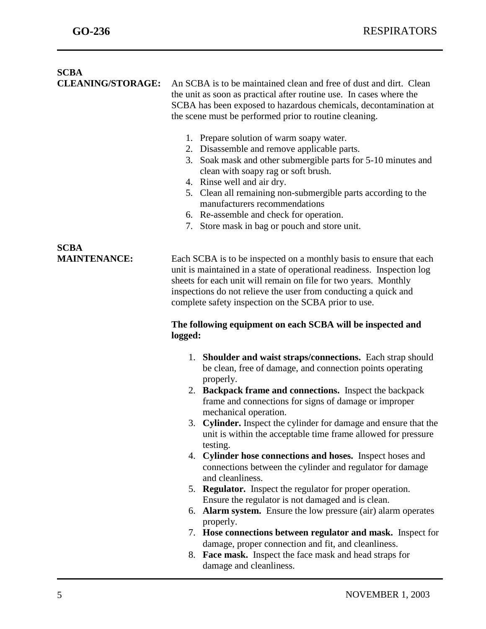j

| <b>SCBA</b><br><b>CLEANING/STORAGE:</b> | An SCBA is to be maintained clean and free of dust and dirt. Clean<br>the unit as soon as practical after routine use. In cases where the<br>SCBA has been exposed to hazardous chemicals, decontamination at<br>the scene must be performed prior to routine cleaning.<br>1. Prepare solution of warm soapy water.                         |
|-----------------------------------------|---------------------------------------------------------------------------------------------------------------------------------------------------------------------------------------------------------------------------------------------------------------------------------------------------------------------------------------------|
|                                         | 2. Disassemble and remove applicable parts.<br>3. Soak mask and other submergible parts for 5-10 minutes and<br>clean with soapy rag or soft brush.<br>4. Rinse well and air dry.                                                                                                                                                           |
|                                         | 5. Clean all remaining non-submergible parts according to the<br>manufacturers recommendations<br>6. Re-assemble and check for operation.<br>7. Store mask in bag or pouch and store unit.                                                                                                                                                  |
| <b>SCBA</b>                             |                                                                                                                                                                                                                                                                                                                                             |
| <b>MAINTENANCE:</b>                     | Each SCBA is to be inspected on a monthly basis to ensure that each<br>unit is maintained in a state of operational readiness. Inspection log<br>sheets for each unit will remain on file for two years. Monthly<br>inspections do not relieve the user from conducting a quick and<br>complete safety inspection on the SCBA prior to use. |
|                                         | The following equipment on each SCBA will be inspected and<br>logged:                                                                                                                                                                                                                                                                       |
|                                         | 1. Shoulder and waist straps/connections. Each strap should<br>be clean, free of damage, and connection points operating<br>properly.                                                                                                                                                                                                       |
|                                         | 2. Backpack frame and connections. Inspect the backpack<br>frame and connections for signs of damage or improper<br>mechanical operation.                                                                                                                                                                                                   |
|                                         | <b>Cylinder.</b> Inspect the cylinder for damage and ensure that the<br>3.<br>unit is within the acceptable time frame allowed for pressure<br>testing.                                                                                                                                                                                     |
|                                         | 4. Cylinder hose connections and hoses. Inspect hoses and<br>connections between the cylinder and regulator for damage<br>and cleanliness.                                                                                                                                                                                                  |
|                                         | 5. Regulator. Inspect the regulator for proper operation.                                                                                                                                                                                                                                                                                   |
|                                         | Ensure the regulator is not damaged and is clean.<br>6. Alarm system. Ensure the low pressure (air) alarm operates                                                                                                                                                                                                                          |
|                                         | properly.                                                                                                                                                                                                                                                                                                                                   |
|                                         | 7. Hose connections between regulator and mask. Inspect for                                                                                                                                                                                                                                                                                 |
|                                         | damage, proper connection and fit, and cleanliness.                                                                                                                                                                                                                                                                                         |
|                                         | 8. Face mask. Inspect the face mask and head straps for                                                                                                                                                                                                                                                                                     |

damage and cleanliness.